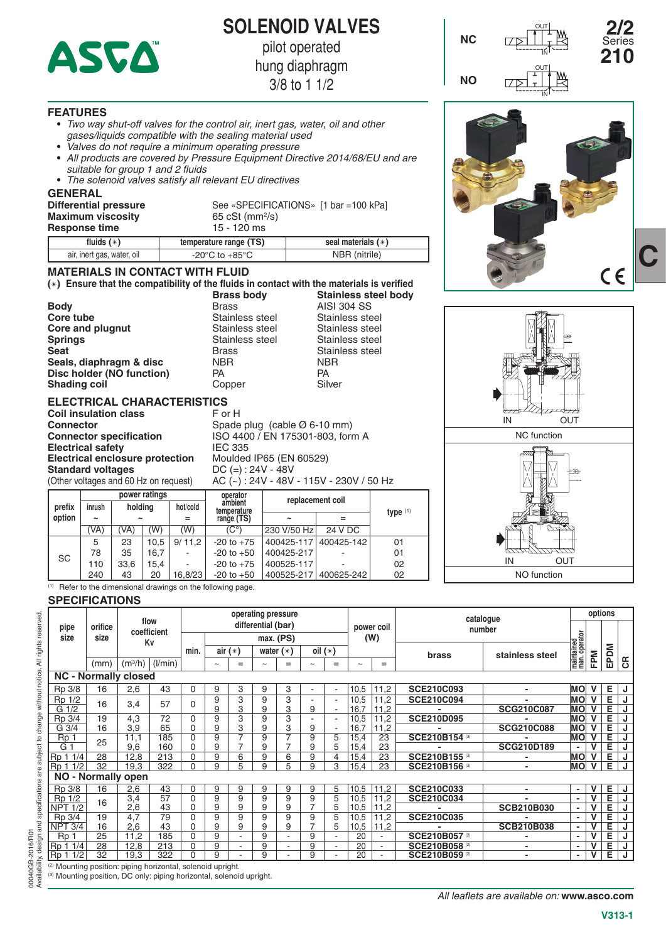

**SOLENOID VALVES**

pilot operated

**NC**

**NO**

IN

OUT

IN

IN OUT NC function

IN OUT NO function

**2/2** 

Series **210**

hung diaphragm

3/8 to 1 1/2

#### **FEATURES**

- **•**  *Two way shut-off valves for the control air, inert gas, water, oil and other gases/liquids compatible with the sealing material used*
- **•**  *Valves do not require a minimum operating pressure*
- **•**  *All products are covered by Pressure Equipment Directive 2014/68/EU and are suitable for group 1 and 2 fluids*
- **•**  *The solenoid valves satisfy all relevant EU directives*

#### **GENERAL**

| Differential pressure<br><b>Maximum viscosity</b><br><b>Response time</b> | See «SPECIFICATIONS» [1 bar = 100 kPa]<br>65 cSt (mm <sup>2</sup> /s)<br>$15 - 120$ ms |                      |  |  |  |
|---------------------------------------------------------------------------|----------------------------------------------------------------------------------------|----------------------|--|--|--|
| fluids $(*)$                                                              | temperature range (TS)                                                                 | seal materials $(*)$ |  |  |  |
| air, inert gas, water, oil                                                | -20 $^{\circ}$ C to +85 $^{\circ}$ C                                                   | NBR (nitrile)        |  |  |  |

# **MATERIALS IN CONTACT WITH FLUID**

**() Ensure that the compatibility of the fluids in contact with the materials is verified Brass body Stainless steel body**

| <b>Body</b>               | <b>Brass</b>    | <b>AISI 304 SS</b> |
|---------------------------|-----------------|--------------------|
| Core tube                 | Stainless steel | Stainless steel    |
| Core and plugnut          | Stainless steel | Stainless steel    |
| <b>Springs</b>            | Stainless steel | Stainless steel    |
| <b>Seat</b>               | <b>Brass</b>    | Stainless steel    |
| Seals, diaphragm & disc   | <b>NBR</b>      | <b>NBR</b>         |
| Disc holder (NO function) | PA              | <b>PA</b>          |
| <b>Shading coil</b>       | Copper          | Silver             |
|                           |                 |                    |

# **ELECTRICAL CHARACTERISTICS**

|                          |                               | <b>Coil insulation class</b>           |                        | F or H                                  |                                          |  |  |  |  |
|--------------------------|-------------------------------|----------------------------------------|------------------------|-----------------------------------------|------------------------------------------|--|--|--|--|
| <b>Connector</b>         |                               |                                        |                        |                                         | Spade plug (cable $\varnothing$ 6-10 mm) |  |  |  |  |
|                          |                               | <b>Connector specification</b>         |                        |                                         | ISO 4400 / EN 175301-803, form A         |  |  |  |  |
| <b>Electrical safety</b> |                               |                                        |                        | <b>IEC 335</b>                          |                                          |  |  |  |  |
|                          |                               | <b>Electrical enclosure protection</b> |                        | Moulded IP65 (EN 60529)                 |                                          |  |  |  |  |
| <b>Standard voltages</b> |                               |                                        |                        | $DC (=): 24V - 48V$                     |                                          |  |  |  |  |
|                          |                               | (Other voltages and 60 Hz on request)  |                        | AC (~): 24V - 48V - 115V - 230V / 50 Hz |                                          |  |  |  |  |
|                          | power ratings                 |                                        |                        | operator                                | replacement coil                         |  |  |  |  |
| prefix                   | holding<br>hot/cold<br>inrush |                                        | ambient<br>tamnaratura |                                         |                                          |  |  |  |  |

| prefix | inrush                |                       | holding | hot/cold | ambient<br>temperature | <b>ICNIGACILICITI ANII</b> | type $(1)$ |    |  |
|--------|-----------------------|-----------------------|---------|----------|------------------------|----------------------------|------------|----|--|
| option | $\tilde{\phantom{a}}$ | $\tilde{\phantom{a}}$ |         |          | range (TS)             | $\tilde{\phantom{a}}$      |            |    |  |
|        | (VA)                  | (W)<br>'VA)<br>(W)    |         |          | (C°)                   | 230 V/50 Hz                | 24 V DC    |    |  |
|        | 5                     | 23                    | 10.5    | 9/11.2   | $-20$ to $+75$         | 400425-117                 | 400425-142 | 01 |  |
| SC     | 78                    | 35                    | 16.7    | ۰        | $-20$ to $+50$         | 400425-217                 |            | 01 |  |
|        | 110                   | 33.6                  | 15.4    | ۰        | $-20$ to $+75$         | 400525-117                 |            | 02 |  |
|        | 240                   | 43                    | 20      | 16.8/23  | $-20$ to $+50$         | 400525-217                 | 400625-242 | 02 |  |

 $(1)$  Refer to the dimensional drawings on the following page.

#### **SPECIFICATIONS**

00040GB-2016/R01

Availability, design and specifications are subject to change without notice. All rights reserved.

00040GB-2016/R01<br>Availability, design and specifications are subject to change without notice. All rights reserved.

|                                                                        |         | flow<br>coefficient<br>Kv |         | operating pressure |            |                |             |     |                |     |                       |                          |                                 | options             |                            |    |      |                |
|------------------------------------------------------------------------|---------|---------------------------|---------|--------------------|------------|----------------|-------------|-----|----------------|-----|-----------------------|--------------------------|---------------------------------|---------------------|----------------------------|----|------|----------------|
| pipe                                                                   | orifice |                           |         | differential (bar) |            |                |             |     |                |     |                       | power coil               |                                 | catalogue<br>number |                            |    |      |                |
| size                                                                   | size    |                           |         |                    | max. (PS)  |                |             |     | (W)            |     |                       |                          |                                 |                     |                            |    |      |                |
|                                                                        |         |                           |         | min.               | air $(*)$  |                | water $(*)$ |     | oil $(*)$      |     |                       |                          | brass                           | stainless steel     | maintained<br>man.operator | Md | EPDM |                |
|                                                                        | (mm)    | $(m^{3}/h)$               | (1/min) |                    | $\tilde{}$ | $=$            | $\tilde{}$  | $=$ | $\sim$         | $=$ | $\tilde{\phantom{a}}$ | $=$                      |                                 |                     |                            | ш  |      | $\overline{c}$ |
| <b>NC - Normally closed</b>                                            |         |                           |         |                    |            |                |             |     |                |     |                       |                          |                                 |                     |                            |    |      |                |
| Rp 3/8                                                                 | 16      | 2,6                       | 43      | $\mathbf 0$        | 9          | 3              | 9           | 3   |                |     | 10,5                  | 11,2                     | <b>SCE210C093</b>               | $\overline{a}$      | <b>MO</b>                  |    | Е    | J              |
| Rp 1/2                                                                 | 16      |                           | 57      | 0                  | 9          | 3              | 9           | 3   |                |     | 10,5                  | 11,2                     | <b>SCE210C094</b>               |                     | <b>MO</b>                  |    | Е    | J              |
| G <sub>1/2</sub>                                                       |         | 3,4                       |         |                    | 9          | 3              | 9           | 3   | 9              |     | 16,7                  | 11,2                     |                                 | <b>SCG210C087</b>   | <b>MO</b>                  |    | Е    |                |
| Rp 3/4                                                                 | 19      | 4,3                       | 72      | 0                  | 9          | 3              | 9           | 3   |                |     | 10,5                  | 11,2                     | <b>SCE210D095</b>               |                     | <b>MO</b>                  |    | Ē    | J              |
| G 3/4                                                                  | 16      | 3,9                       | 65      | $\mathbf 0$        | 9          | 3              | 9           | 3   | 9              |     | 16,7                  | 11.2                     |                                 | <b>SCG210C088</b>   | <b>MO</b>                  |    | Ē    | J              |
| Rp <sub>1</sub>                                                        | 25      | 11,1                      | 185     | $\Omega$           | 9          | 7              | 9           | 7   | 9              | 5   | 15,4                  | 23                       | SCE210B154                      |                     | <b>MO</b>                  | v  | Е    | J              |
| G                                                                      |         | 9,6                       | 160     | 0                  | 9          | 7              | 9           |     | 9              | 5   | 15,4                  | 23                       |                                 | <b>SCG210D189</b>   | ٠                          |    | Ē    | J              |
| Rp 1 1/4                                                               | 28      | 12.8                      | 213     | $\mathbf 0$        | 9          | 6              | 9           | 6   | 9              | 4   | 15.4                  | 23                       | SCE210B155                      |                     | <b>MO</b>                  |    | Е    | J              |
| Rp 1 1/2                                                               | 32      | 19,3                      | 322     | 0                  | 9          | 5              | 9           | 5   | 9              | 3   | 15,4                  | 23                       | SCE210B156 <sup>(3)</sup>       | $\blacksquare$      | <b>MO</b>                  | v  | E    | J              |
| NO - Normally open                                                     |         |                           |         |                    |            |                |             |     |                |     |                       |                          |                                 |                     |                            |    |      |                |
| Rp 3/8                                                                 | 16      | 2,6                       | 43      | 0                  | 9          | 9              | 9           | 9   | 9              | 5   | 10,5                  | 11.2                     | <b>SCE210C033</b>               | $\blacksquare$      | $\overline{\phantom{a}}$   | v  | Е    | J              |
| Rp 1/2                                                                 | 16      | 3,4                       | 57      | 0                  | 9          | 9              | 9           | 9   | 9              | 5   | 10,5                  | 11,2                     | <b>SCE210C034</b>               |                     | ٠                          |    | Ε    | J              |
| <b>NPT 1/2</b>                                                         |         | 2,6                       | 43      | 0                  | 9          | 9              | 9           | 9   | $\overline{7}$ | 5   | 10,5                  | 11,2                     |                                 | <b>SCB210B030</b>   |                            |    | Е    | J              |
| Rp 3/4                                                                 | 19      | 4,7                       | 79      | 0                  | 9          | 9              | 9           | 9   | 9              | 5   | 10,5                  | 11,2                     | <b>SCE210C035</b>               |                     | $\overline{\phantom{a}}$   |    | E    | J              |
| $NPT$ 3/4                                                              | 16      | 2,6                       | 43      | 0                  | 9          | 9              | 9           | 9   | $\overline{7}$ | 5   | 10,5                  | 11,2                     |                                 | <b>SCB210B038</b>   | ٠                          |    | Е    | J              |
| Rp                                                                     | 25      | 11,2                      | 185     | 0                  | 9          | $\blacksquare$ | 9           | ۰   | 9              |     | 20                    |                          | <b>SCE210B057<sup>(2)</sup></b> |                     |                            |    | Е    | J              |
| Rp 1 1/4                                                               | 28      | 12,8                      | 213     | 0                  | 9          |                | 9           |     | 9              | ۰   | 20                    | $\overline{\phantom{a}}$ | SCE210B058 <sup>(2)</sup>       | $\blacksquare$      | ٠                          |    | E    | J              |
| Rp <sub>1</sub><br>1/2                                                 | 32      | 19.3                      | 322     | $\Omega$           | 9          |                | 9           |     | 9              |     | 20                    |                          | SCE210B059 <sup>(2)</sup>       | $\blacksquare$      | $\blacksquare$             | v  | Ε    | J              |
| <sup>(2)</sup> Mounting position: piping horizontal, solenoid upright. |         |                           |         |                    |            |                |             |     |                |     |                       |                          |                                 |                     |                            |    |      |                |

(3) Mounting position, DC only: piping horizontal, solenoid upright.

**C**

 $C \in$